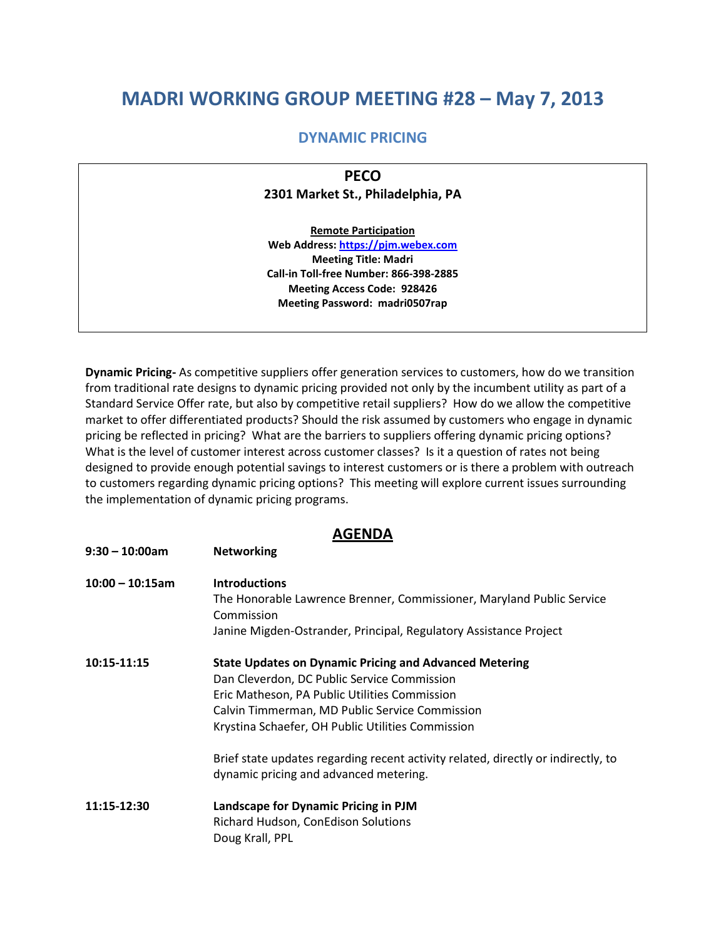## **MADRI WORKING GROUP MEETING #28 – May 7, 2013**

## **DYNAMIC PRICING**

**PECO 2301 Market St., Philadelphia, PA**

**Remote Participation Web Address: [https://pjm.webex.com](https://pjm.webex.com/) Meeting Title: Madri Call-in Toll-free Number: 866-398-2885 Meeting Access Code: 928426 Meeting Password: madri0507rap**

**Dynamic Pricing-** As competitive suppliers offer generation services to customers, how do we transition from traditional rate designs to dynamic pricing provided not only by the incumbent utility as part of a Standard Service Offer rate, but also by competitive retail suppliers? How do we allow the competitive market to offer differentiated products? Should the risk assumed by customers who engage in dynamic pricing be reflected in pricing? What are the barriers to suppliers offering dynamic pricing options? What is the level of customer interest across customer classes? Is it a question of rates not being designed to provide enough potential savings to interest customers or is there a problem with outreach to customers regarding dynamic pricing options? This meeting will explore current issues surrounding the implementation of dynamic pricing programs.

## **AGENDA**

**9:30 – 10:00am Networking**

| $10:00 - 10:15$ am | <b>Introductions</b>                                                              |
|--------------------|-----------------------------------------------------------------------------------|
|                    | The Honorable Lawrence Brenner, Commissioner, Maryland Public Service             |
|                    | Commission                                                                        |
|                    | Janine Migden-Ostrander, Principal, Regulatory Assistance Project                 |
| 10:15-11:15        | <b>State Updates on Dynamic Pricing and Advanced Metering</b>                     |
|                    | Dan Cleverdon, DC Public Service Commission                                       |
|                    | Eric Matheson, PA Public Utilities Commission                                     |
|                    | Calvin Timmerman, MD Public Service Commission                                    |
|                    | Krystina Schaefer, OH Public Utilities Commission                                 |
|                    | Brief state updates regarding recent activity related, directly or indirectly, to |
|                    | dynamic pricing and advanced metering.                                            |
| 11:15-12:30        | Landscape for Dynamic Pricing in PJM                                              |
|                    | Richard Hudson, ConEdison Solutions                                               |
|                    | Doug Krall, PPL                                                                   |
|                    |                                                                                   |